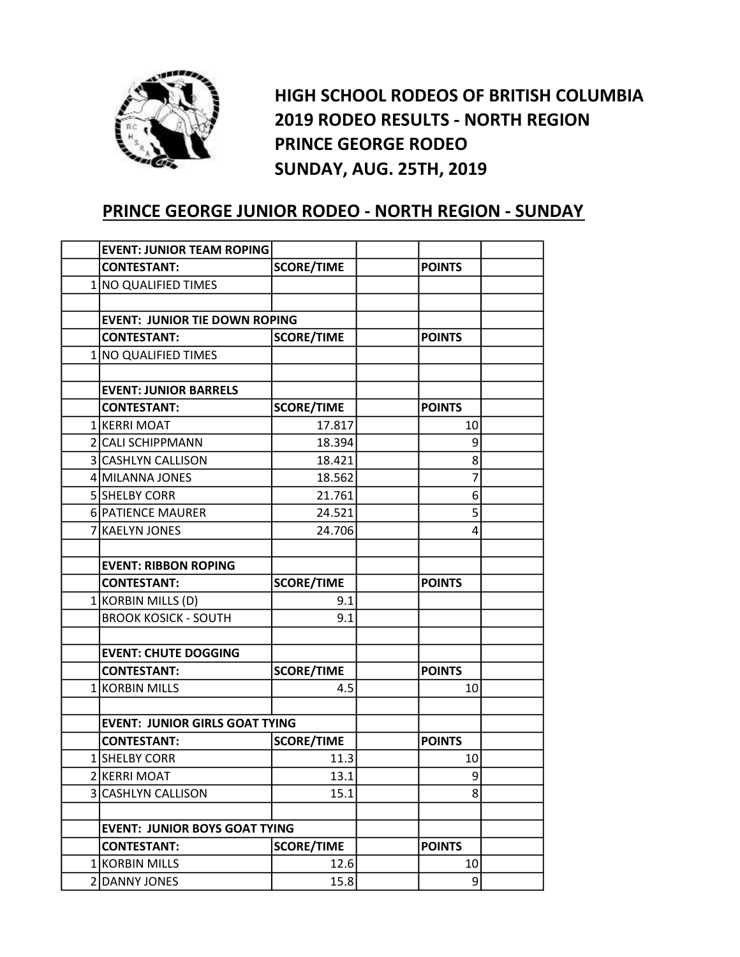

HIGH SCHOOL RODEOS OF BRITISH COLUMBIA 2019 RODEO RESULTS - NORTH REGION PRINCE GEORGE RODEO SUNDAY, AUG. 25TH, 2019

## PRINCE GEORGE JUNIOR RODEO - NORTH REGION - SUNDAY

| <b>EVENT: JUNIOR TEAM ROPING</b>      |                                      |  |               |  |
|---------------------------------------|--------------------------------------|--|---------------|--|
| <b>CONTESTANT:</b>                    | <b>SCORE/TIME</b>                    |  | <b>POINTS</b> |  |
| 1 NO QUALIFIED TIMES                  |                                      |  |               |  |
|                                       |                                      |  |               |  |
| <b>EVENT: JUNIOR TIE DOWN ROPING</b>  |                                      |  |               |  |
| <b>CONTESTANT:</b>                    | <b>SCORE/TIME</b>                    |  | <b>POINTS</b> |  |
| 1 NO QUALIFIED TIMES                  |                                      |  |               |  |
|                                       |                                      |  |               |  |
| <b>EVENT: JUNIOR BARRELS</b>          |                                      |  |               |  |
| <b>CONTESTANT:</b>                    | <b>SCORE/TIME</b>                    |  | <b>POINTS</b> |  |
| 1 KERRI MOAT                          | 17.817                               |  | 10            |  |
| 2 CALI SCHIPPMANN                     | 18.394                               |  | 9             |  |
| 3 CASHLYN CALLISON                    | 18.421                               |  | 8             |  |
| 4 MILANNA JONES                       | 18.562                               |  | 7             |  |
| 5 SHELBY CORR                         | 21.761                               |  | 6             |  |
| 6 PATIENCE MAURER                     | 24.521                               |  | 5             |  |
| 7 KAELYN JONES                        | 24.706                               |  | 4             |  |
|                                       |                                      |  |               |  |
| <b>EVENT: RIBBON ROPING</b>           |                                      |  |               |  |
| <b>CONTESTANT:</b>                    | <b>SCORE/TIME</b>                    |  | <b>POINTS</b> |  |
| 1 KORBIN MILLS (D)                    | 9.1                                  |  |               |  |
| <b>BROOK KOSICK - SOUTH</b>           | 9.1                                  |  |               |  |
|                                       |                                      |  |               |  |
| <b>EVENT: CHUTE DOGGING</b>           |                                      |  |               |  |
| <b>CONTESTANT:</b>                    | <b>SCORE/TIME</b>                    |  | <b>POINTS</b> |  |
| 1 KORBIN MILLS                        | 4.5                                  |  | 10            |  |
|                                       |                                      |  |               |  |
| <b>EVENT: JUNIOR GIRLS GOAT TYING</b> |                                      |  |               |  |
| <b>CONTESTANT:</b>                    | <b>SCORE/TIME</b>                    |  | <b>POINTS</b> |  |
| 1 SHELBY CORR                         | 11.3                                 |  | 10            |  |
| 2 KERRI MOAT                          | 13.1                                 |  | 9             |  |
| 3 CASHLYN CALLISON                    | 15.1                                 |  | 8             |  |
|                                       |                                      |  |               |  |
|                                       | <b>EVENT: JUNIOR BOYS GOAT TYING</b> |  |               |  |
| <b>CONTESTANT:</b>                    | <b>SCORE/TIME</b>                    |  | <b>POINTS</b> |  |
| 1 KORBIN MILLS                        | 12.6                                 |  | 10            |  |
| 2 DANNY JONES                         | 15.8                                 |  | 9             |  |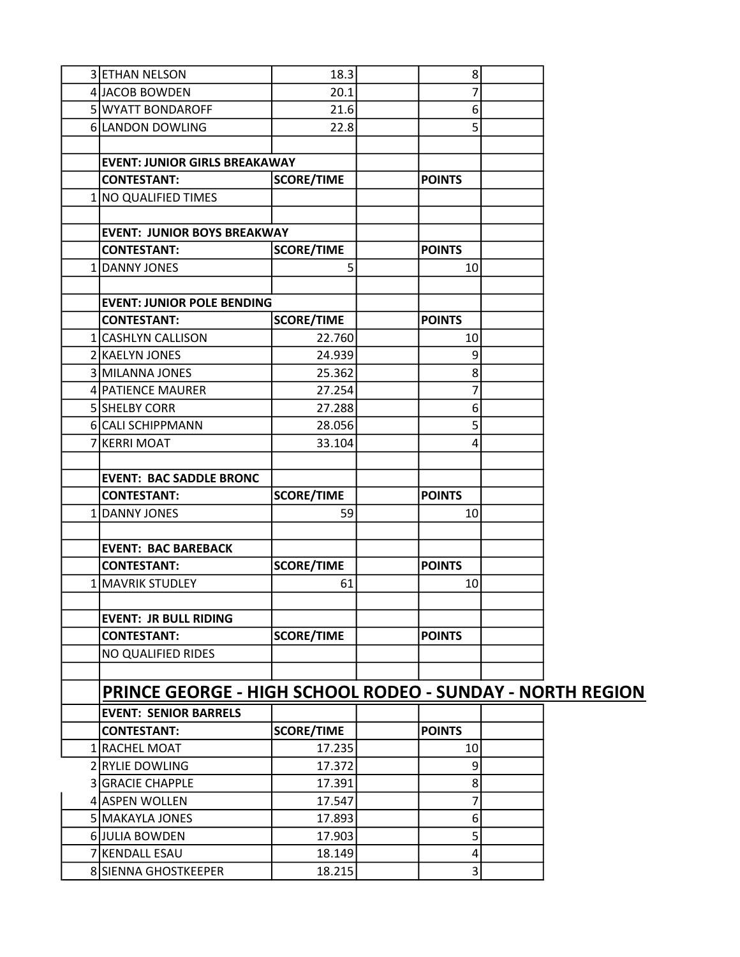| 3 ETHAN NELSON                                                   | 18.3              |  | 8              |  |  |
|------------------------------------------------------------------|-------------------|--|----------------|--|--|
| 4 JACOB BOWDEN                                                   | 20.1              |  | 7              |  |  |
| 5 WYATT BONDAROFF                                                | 21.6              |  | 6              |  |  |
| 6 LANDON DOWLING                                                 | 22.8              |  | 5              |  |  |
|                                                                  |                   |  |                |  |  |
| <b>EVENT: JUNIOR GIRLS BREAKAWAY</b>                             |                   |  |                |  |  |
| <b>CONTESTANT:</b>                                               | <b>SCORE/TIME</b> |  | <b>POINTS</b>  |  |  |
| 1   NO QUALIFIED TIMES                                           |                   |  |                |  |  |
|                                                                  |                   |  |                |  |  |
| <b>EVENT: JUNIOR BOYS BREAKWAY</b>                               |                   |  |                |  |  |
| <b>CONTESTANT:</b>                                               | <b>SCORE/TIME</b> |  | <b>POINTS</b>  |  |  |
| 1 DANNY JONES                                                    | 5                 |  | 10             |  |  |
|                                                                  |                   |  |                |  |  |
| <b>EVENT: JUNIOR POLE BENDING</b>                                |                   |  |                |  |  |
| <b>CONTESTANT:</b>                                               | <b>SCORE/TIME</b> |  | <b>POINTS</b>  |  |  |
| 1 CASHLYN CALLISON                                               | 22.760            |  | 10             |  |  |
| 2 KAELYN JONES                                                   | 24.939            |  | 9              |  |  |
| 3 MILANNA JONES                                                  | 25.362            |  | 8              |  |  |
| 4 PATIENCE MAURER                                                | 27.254            |  | 7              |  |  |
| 5 SHELBY CORR                                                    | 27.288            |  | 6              |  |  |
| 6 CALI SCHIPPMANN                                                | 28.056            |  | 5              |  |  |
| 7 KERRI MOAT                                                     | 33.104            |  | 4              |  |  |
|                                                                  |                   |  |                |  |  |
| <b>EVENT: BAC SADDLE BRONC</b>                                   |                   |  |                |  |  |
| <b>CONTESTANT:</b>                                               | <b>SCORE/TIME</b> |  | <b>POINTS</b>  |  |  |
| 1 DANNY JONES                                                    | 59                |  | 10             |  |  |
|                                                                  |                   |  |                |  |  |
| <b>EVENT: BAC BAREBACK</b>                                       |                   |  |                |  |  |
| <b>CONTESTANT:</b>                                               | <b>SCORE/TIME</b> |  | <b>POINTS</b>  |  |  |
| 1 MAVRIK STUDLEY                                                 | 61                |  | 10             |  |  |
|                                                                  |                   |  |                |  |  |
| <b>EVENT: JR BULL RIDING</b>                                     |                   |  |                |  |  |
| <b>CONTESTANT:</b>                                               | <b>SCORE/TIME</b> |  | <b>POINTS</b>  |  |  |
| <b>NO QUALIFIED RIDES</b>                                        |                   |  |                |  |  |
|                                                                  |                   |  |                |  |  |
| <b>PRINCE GEORGE - HIGH SCHOOL RODEO - SUNDAY - NORTH REGION</b> |                   |  |                |  |  |
| <b>EVENT: SENIOR BARRELS</b>                                     |                   |  |                |  |  |
| <b>CONTESTANT:</b>                                               | <b>SCORE/TIME</b> |  | <b>POINTS</b>  |  |  |
| 1 RACHEL MOAT                                                    | 17.235            |  | 10             |  |  |
|                                                                  |                   |  |                |  |  |
| 2 RYLIE DOWLING                                                  | 17.372            |  | 9              |  |  |
| 3 GRACIE CHAPPLE                                                 | 17.391            |  | 8              |  |  |
| 4 ASPEN WOLLEN                                                   | 17.547            |  | 7              |  |  |
| 5 MAKAYLA JONES                                                  | 17.893            |  | 6 <sup>1</sup> |  |  |
| 6 JULIA BOWDEN                                                   | 17.903            |  | 5              |  |  |
| 7 KENDALL ESAU                                                   | 18.149            |  | 4              |  |  |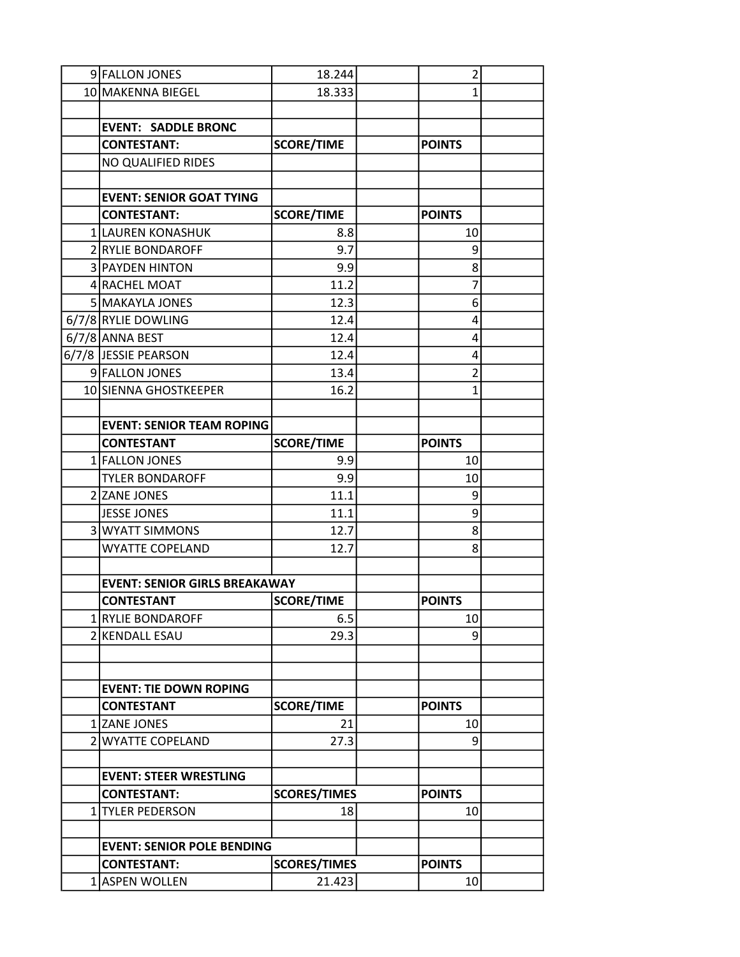| 9 FALLON JONES                                      | 18.244                        | $\overline{\mathbf{c}}$ |  |
|-----------------------------------------------------|-------------------------------|-------------------------|--|
| 10 MAKENNA BIEGEL                                   | 18.333                        | $\mathbf{1}$            |  |
|                                                     |                               |                         |  |
| <b>EVENT: SADDLE BRONC</b>                          |                               |                         |  |
| <b>CONTESTANT:</b>                                  | <b>SCORE/TIME</b>             | <b>POINTS</b>           |  |
| NO QUALIFIED RIDES                                  |                               |                         |  |
|                                                     |                               |                         |  |
| <b>EVENT: SENIOR GOAT TYING</b>                     |                               |                         |  |
| <b>CONTESTANT:</b>                                  | <b>SCORE/TIME</b>             | <b>POINTS</b>           |  |
| 1 LAUREN KONASHUK                                   | 8.8                           | 10                      |  |
| 2 RYLIE BONDAROFF                                   | 9.7                           | 9                       |  |
| 3 PAYDEN HINTON                                     | 9.9                           | 8                       |  |
| 4 RACHEL MOAT                                       | 11.2                          | 7                       |  |
| 5 MAKAYLA JONES                                     | 12.3                          | 6                       |  |
| 6/7/8 RYLIE DOWLING                                 | 12.4                          | 4                       |  |
| 6/7/8 ANNA BEST                                     | 12.4                          | 4                       |  |
| 6/7/8 JESSIE PEARSON                                | 12.4                          | 4                       |  |
| 9 FALLON JONES                                      | 13.4                          | $\overline{2}$          |  |
| 10 SIENNA GHOSTKEEPER                               | 16.2                          | $\mathbf{1}$            |  |
|                                                     |                               |                         |  |
| <b>EVENT: SENIOR TEAM ROPING</b>                    |                               |                         |  |
| <b>CONTESTANT</b>                                   | <b>SCORE/TIME</b>             | <b>POINTS</b>           |  |
| 1 FALLON JONES                                      | 9.9                           | 10                      |  |
| <b>TYLER BONDAROFF</b>                              | 9.9                           | 10                      |  |
| 2 ZANE JONES                                        | 11.1                          | 9                       |  |
| JESSE JONES                                         | 11.1                          | 9                       |  |
| 3 WYATT SIMMONS                                     | 12.7                          | 8                       |  |
| <b>WYATTE COPELAND</b>                              | 12.7                          | 8                       |  |
|                                                     |                               |                         |  |
| <b>EVENT: SENIOR GIRLS BREAKAWAY</b>                |                               |                         |  |
| <b>CONTESTANT</b>                                   | <b>SCORE/TIME</b>             | <b>POINTS</b>           |  |
| 1 RYLIE BONDAROFF                                   | 6.5                           | 10                      |  |
| 2 KENDALL ESAU                                      | 29.3                          | 9                       |  |
|                                                     |                               |                         |  |
|                                                     |                               |                         |  |
| <b>EVENT: TIE DOWN ROPING</b>                       |                               |                         |  |
| <b>CONTESTANT</b>                                   | <b>SCORE/TIME</b>             | <b>POINTS</b>           |  |
| 1 ZANE JONES                                        | 21                            | 10                      |  |
| 2 WYATTE COPELAND                                   | 27.3                          | 9                       |  |
|                                                     |                               |                         |  |
| <b>EVENT: STEER WRESTLING</b><br><b>CONTESTANT:</b> | <b>POINTS</b>                 |                         |  |
| 1 TYLER PEDERSON                                    | <b>SCORES/TIMES</b><br>18     | 10                      |  |
|                                                     |                               |                         |  |
| <b>EVENT: SENIOR POLE BENDING</b>                   |                               |                         |  |
| <b>CONTESTANT:</b>                                  | <b>POINTS</b>                 |                         |  |
| 1 ASPEN WOLLEN                                      | <b>SCORES/TIMES</b><br>21.423 | 10                      |  |
|                                                     |                               |                         |  |